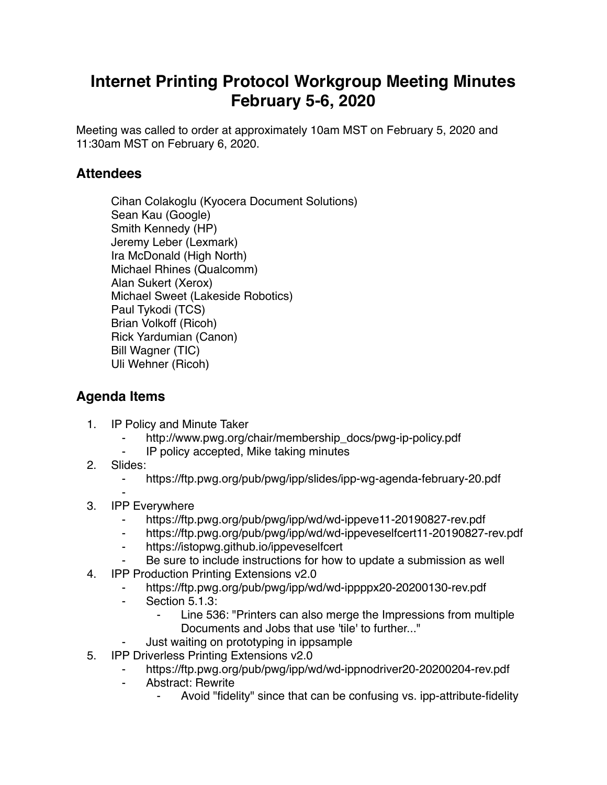## **Internet Printing Protocol Workgroup Meeting Minutes February 5-6, 2020**

Meeting was called to order at approximately 10am MST on February 5, 2020 and 11:30am MST on February 6, 2020.

## **Attendees**

Cihan Colakoglu (Kyocera Document Solutions) Sean Kau (Google) Smith Kennedy (HP) Jeremy Leber (Lexmark) Ira McDonald (High North) Michael Rhines (Qualcomm) Alan Sukert (Xerox) Michael Sweet (Lakeside Robotics) Paul Tykodi (TCS) Brian Volkoff (Ricoh) Rick Yardumian (Canon) Bill Wagner (TIC) Uli Wehner (Ricoh)

## **Agenda Items**

- 1. IP Policy and Minute Taker
	- http://www.pwg.org/chair/membership\_docs/pwg-ip-policy.pdf
	- ⁃ IP policy accepted, Mike taking minutes
- 2. Slides:
	- ⁃ https://ftp.pwg.org/pub/pwg/ipp/slides/ipp-wg-agenda-february-20.pdf
- ⁃ 3. IPP Everywhere
	- ⁃ https://ftp.pwg.org/pub/pwg/ipp/wd/wd-ippeve11-20190827-rev.pdf
	- ⁃ https://ftp.pwg.org/pub/pwg/ipp/wd/wd-ippeveselfcert11-20190827-rev.pdf
	- ⁃ https://istopwg.github.io/ippeveselfcert
	- Be sure to include instructions for how to update a submission as well
- 4. IPP Production Printing Extensions v2.0
	- ⁃ https://ftp.pwg.org/pub/pwg/ipp/wd/wd-ippppx20-20200130-rev.pdf
	- ⁃ Section 5.1.3:
		- ⁃ Line 536: "Printers can also merge the Impressions from multiple Documents and Jobs that use 'tile' to further..."
	- Just waiting on prototyping in ippsample
- 5. IPP Driverless Printing Extensions v2.0
	- https://ftp.pwg.org/pub/pwg/ipp/wd/wd-ippnodriver20-20200204-rev.pdf
	- ⁃ Abstract: Rewrite
		- Avoid "fidelity" since that can be confusing vs. ipp-attribute-fidelity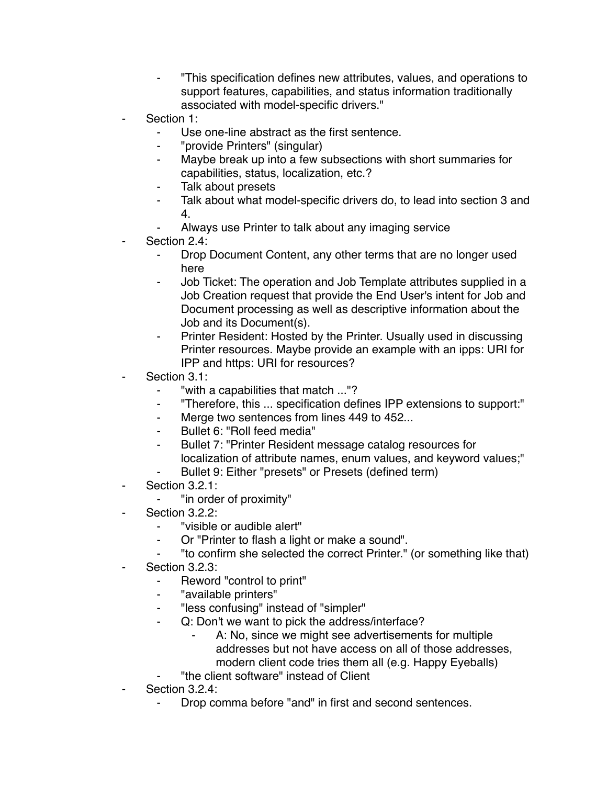- ⁃ "This specification defines new attributes, values, and operations to support features, capabilities, and status information traditionally associated with model-specific drivers."
- Section 1:
	- ⁃ Use one-line abstract as the first sentence.
	- ⁃ "provide Printers" (singular)
	- ⁃ Maybe break up into a few subsections with short summaries for capabilities, status, localization, etc.?
	- Talk about presets
	- ⁃ Talk about what model-specific drivers do, to lead into section 3 and 4.
	- Always use Printer to talk about any imaging service
- Section 2.4:
	- Drop Document Content, any other terms that are no longer used here
	- Job Ticket: The operation and Job Template attributes supplied in a Job Creation request that provide the End User's intent for Job and Document processing as well as descriptive information about the Job and its Document(s).
	- Printer Resident: Hosted by the Printer. Usually used in discussing Printer resources. Maybe provide an example with an ipps: URI for IPP and https: URI for resources?
- Section 3.1:
	- ⁃ "with a capabilities that match ..."?
	- ⁃ "Therefore, this ... specification defines IPP extensions to support:"
	- ⁃ Merge two sentences from lines 449 to 452...
	- ⁃ Bullet 6: "Roll feed media"
	- Bullet 7: "Printer Resident message catalog resources for localization of attribute names, enum values, and keyword values;"
	- Bullet 9: Either "presets" or Presets (defined term)
- Section 3.2.1:
	- ⁃ "in order of proximity"
- Section 3.2.2:
	- ⁃ "visible or audible alert"
	- ⁃ Or "Printer to flash a light or make a sound".
	- ⁃ "to confirm she selected the correct Printer." (or something like that)
- Section 3.2.3:
	- ⁃ Reword "control to print"
	- "available printers"
	- "less confusing" instead of "simpler"
	- ⁃ Q: Don't we want to pick the address/interface?
		- A: No, since we might see advertisements for multiple addresses but not have access on all of those addresses, modern client code tries them all (e.g. Happy Eyeballs)
	- ⁃ "the client software" instead of Client
- Section 3.2.4:
	- Drop comma before "and" in first and second sentences.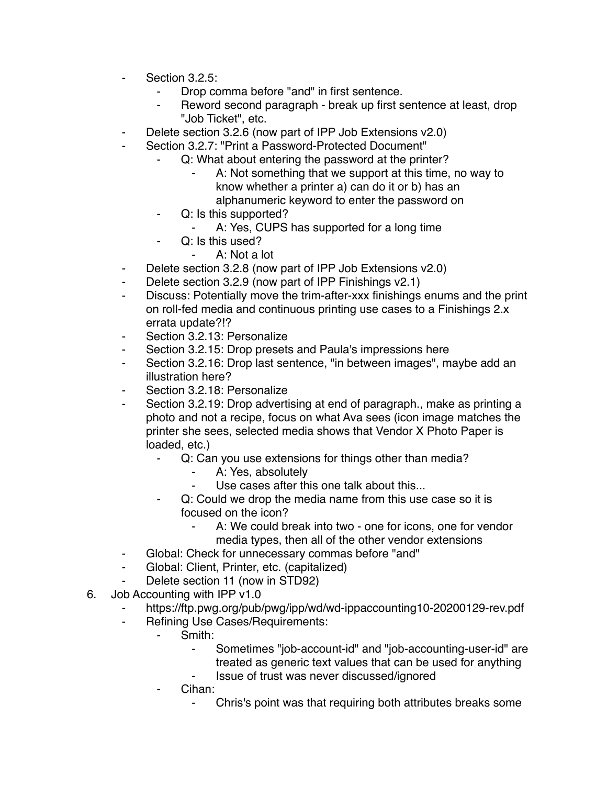- Section 3.2.5:
	- Drop comma before "and" in first sentence.
	- Reword second paragraph break up first sentence at least, drop "Job Ticket", etc.
- ⁃ Delete section 3.2.6 (now part of IPP Job Extensions v2.0)
- Section 3.2.7: "Print a Password-Protected Document"
	- Q: What about entering the password at the printer?
		- A: Not something that we support at this time, no way to know whether a printer a) can do it or b) has an alphanumeric keyword to enter the password on
	- ⁃ Q: Is this supported?
		- ⁃ A: Yes, CUPS has supported for a long time
	- Q: Is this used?
		- A: Not a lot
- ⁃ Delete section 3.2.8 (now part of IPP Job Extensions v2.0)
- Delete section 3.2.9 (now part of IPP Finishings v2.1)
- ⁃ Discuss: Potentially move the trim-after-xxx finishings enums and the print on roll-fed media and continuous printing use cases to a Finishings 2.x errata update?!?
- ⁃ Section 3.2.13: Personalize
- Section 3.2.15: Drop presets and Paula's impressions here
- ⁃ Section 3.2.16: Drop last sentence, "in between images", maybe add an illustration here?
- Section 3.2.18: Personalize
- Section 3.2.19: Drop advertising at end of paragraph., make as printing a photo and not a recipe, focus on what Ava sees (icon image matches the printer she sees, selected media shows that Vendor X Photo Paper is loaded, etc.)
	- ⁃ Q: Can you use extensions for things other than media?
		- A: Yes, absolutely
		- Use cases after this one talk about this...
	- ⁃ Q: Could we drop the media name from this use case so it is focused on the icon?
		- ⁃ A: We could break into two one for icons, one for vendor media types, then all of the other vendor extensions
- ⁃ Global: Check for unnecessary commas before "and"
- ⁃ Global: Client, Printer, etc. (capitalized)
- Delete section 11 (now in STD92)
- 6. Job Accounting with IPP v1.0
	- https://ftp.pwg.org/pub/pwg/ipp/wd/wd-ippaccounting10-20200129-rev.pdf
	- ⁃ Refining Use Cases/Requirements:
		- ⁃ Smith:
			- Sometimes "job-account-id" and "job-accounting-user-id" are treated as generic text values that can be used for anything
			- ⁃ Issue of trust was never discussed/ignored
		- Cihan:
			- ⁃ Chris's point was that requiring both attributes breaks some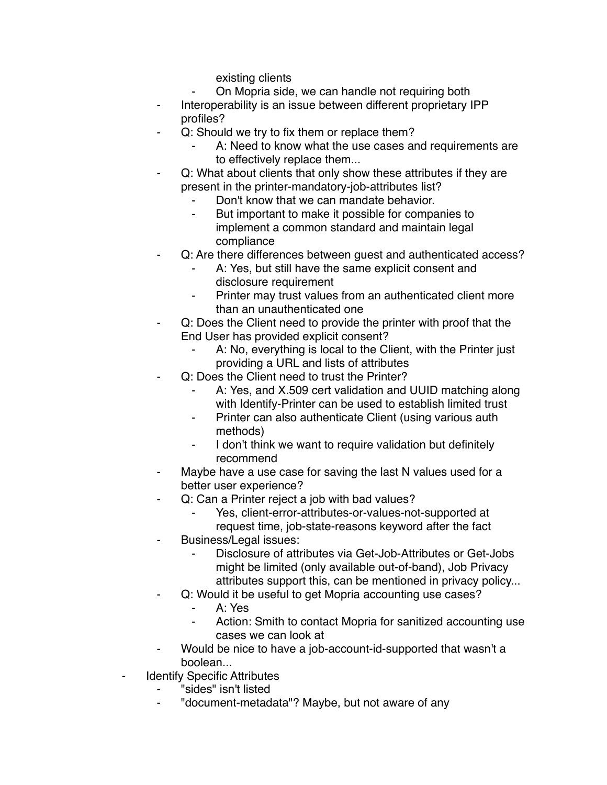existing clients

- On Mopria side, we can handle not requiring both
- Interoperability is an issue between different proprietary IPP profiles?
- Q: Should we try to fix them or replace them?
	- A: Need to know what the use cases and requirements are to effectively replace them...
- Q: What about clients that only show these attributes if they are present in the printer-mandatory-job-attributes list?
	- Don't know that we can mandate behavior.
	- ⁃ But important to make it possible for companies to implement a common standard and maintain legal compliance
- Q: Are there differences between guest and authenticated access?
	- A: Yes, but still have the same explicit consent and disclosure requirement
	- ⁃ Printer may trust values from an authenticated client more than an unauthenticated one
- Q: Does the Client need to provide the printer with proof that the End User has provided explicit consent?
	- A: No, everything is local to the Client, with the Printer just providing a URL and lists of attributes
- Q: Does the Client need to trust the Printer?
	- A: Yes, and X.509 cert validation and UUID matching along with Identify-Printer can be used to establish limited trust
	- ⁃ Printer can also authenticate Client (using various auth methods)
	- I don't think we want to require validation but definitely recommend
- Maybe have a use case for saving the last N values used for a better user experience?
- Q: Can a Printer reject a job with bad values?
	- Yes, client-error-attributes-or-values-not-supported at request time, job-state-reasons keyword after the fact
- ⁃ Business/Legal issues:
	- Disclosure of attributes via Get-Job-Attributes or Get-Jobs might be limited (only available out-of-band), Job Privacy attributes support this, can be mentioned in privacy policy...
- Q: Would it be useful to get Mopria accounting use cases?
	- ⁃ A: Yes
	- Action: Smith to contact Mopria for sanitized accounting use cases we can look at
- Would be nice to have a job-account-id-supported that wasn't a boolean...
- **Identify Specific Attributes** 
	- ⁃ "sides" isn't listed
	- "document-metadata"? Maybe, but not aware of any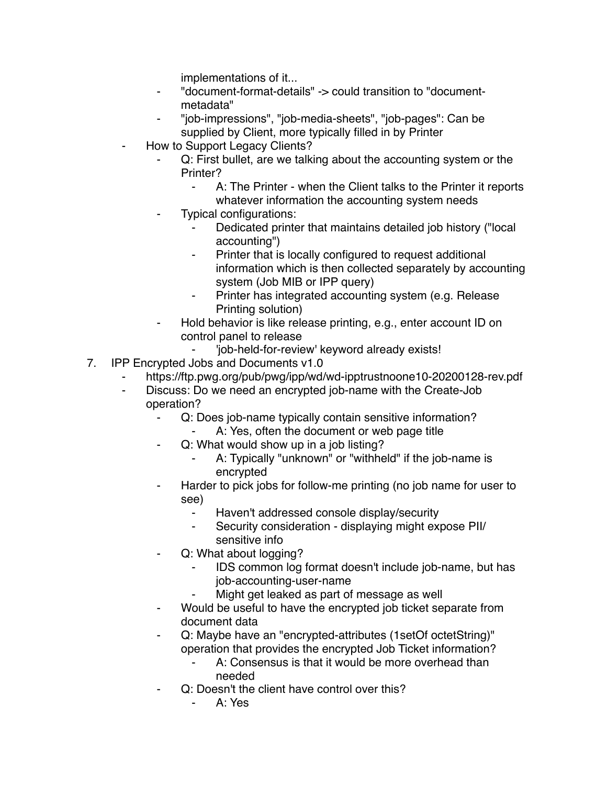implementations of it...

- ⁃ "document-format-details" -> could transition to "documentmetadata"
- ⁃ "job-impressions", "job-media-sheets", "job-pages": Can be supplied by Client, more typically filled in by Printer
- How to Support Legacy Clients?
	- Q: First bullet, are we talking about the accounting system or the Printer?
		- A: The Printer when the Client talks to the Printer it reports whatever information the accounting system needs
	- Typical configurations:
		- Dedicated printer that maintains detailed job history ("local accounting")
		- ⁃ Printer that is locally configured to request additional information which is then collected separately by accounting system (Job MIB or IPP query)
		- Printer has integrated accounting system (e.g. Release Printing solution)
	- Hold behavior is like release printing, e.g., enter account ID on control panel to release
		- 'job-held-for-review' keyword already exists!
- 7. IPP Encrypted Jobs and Documents v1.0
	- https://ftp.pwg.org/pub/pwg/ipp/wd/wd-ipptrustnoone10-20200128-rev.pdf
	- ⁃ Discuss: Do we need an encrypted job-name with the Create-Job operation?
		- Q: Does job-name typically contain sensitive information?
			- A: Yes, often the document or web page title
		- Q: What would show up in a job listing?
			- A: Typically "unknown" or "withheld" if the job-name is encrypted
		- Harder to pick jobs for follow-me printing (no job name for user to see)
			- Haven't addressed console display/security
			- ⁃ Security consideration displaying might expose PII/ sensitive info
		- Q: What about logging?
			- ⁃ IDS common log format doesn't include job-name, but has job-accounting-user-name
			- Might get leaked as part of message as well
		- Would be useful to have the encrypted job ticket separate from document data
		- Q: Maybe have an "encrypted-attributes (1setOf octetString)" operation that provides the encrypted Job Ticket information?
			- ⁃ A: Consensus is that it would be more overhead than needed
		- Q: Doesn't the client have control over this?
			- ⁃ A: Yes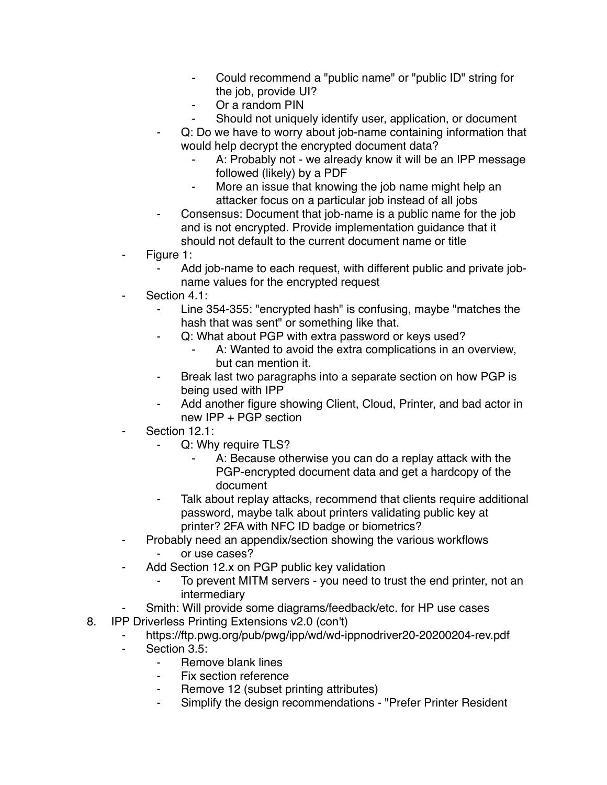- Could recommend a "public name" or "public ID" string for the job, provide UI?
- Or a random PIN
- Should not uniquely identify user, application, or document
- ⁃ Q: Do we have to worry about job-name containing information that would help decrypt the encrypted document data?
	- A: Probably not we already know it will be an IPP message followed (likely) by a PDF
	- ⁃ More an issue that knowing the job name might help an attacker focus on a particular job instead of all jobs
- Consensus: Document that job-name is a public name for the job and is not encrypted. Provide implementation guidance that it should not default to the current document name or title
- Figure 1:
	- Add job-name to each request, with different public and private jobname values for the encrypted request
- Section 4.1:
	- Line 354-355: "encrypted hash" is confusing, maybe "matches the hash that was sent" or something like that.
	- ⁃ Q: What about PGP with extra password or keys used?
		- A: Wanted to avoid the extra complications in an overview, but can mention it.
	- Break last two paragraphs into a separate section on how PGP is being used with IPP
	- Add another figure showing Client, Cloud, Printer, and bad actor in new IPP + PGP section
- Section 12.1:
	- Q: Why require TLS?
		- A: Because otherwise you can do a replay attack with the PGP-encrypted document data and get a hardcopy of the document
	- Talk about replay attacks, recommend that clients require additional password, maybe talk about printers validating public key at printer? 2FA with NFC ID badge or biometrics?
- ⁃ Probably need an appendix/section showing the various workflows or use cases?
- Add Section 12.x on PGP public key validation
	- To prevent MITM servers you need to trust the end printer, not an intermediary
- Smith: Will provide some diagrams/feedback/etc. for HP use cases
- 8. IPP Driverless Printing Extensions v2.0 (con't)
	- https://ftp.pwg.org/pub/pwg/ipp/wd/wd-ippnodriver20-20200204-rev.pdf
	- Section 3.5:
		- ⁃ Remove blank lines
		- Fix section reference
		- Remove 12 (subset printing attributes)
		- ⁃ Simplify the design recommendations "Prefer Printer Resident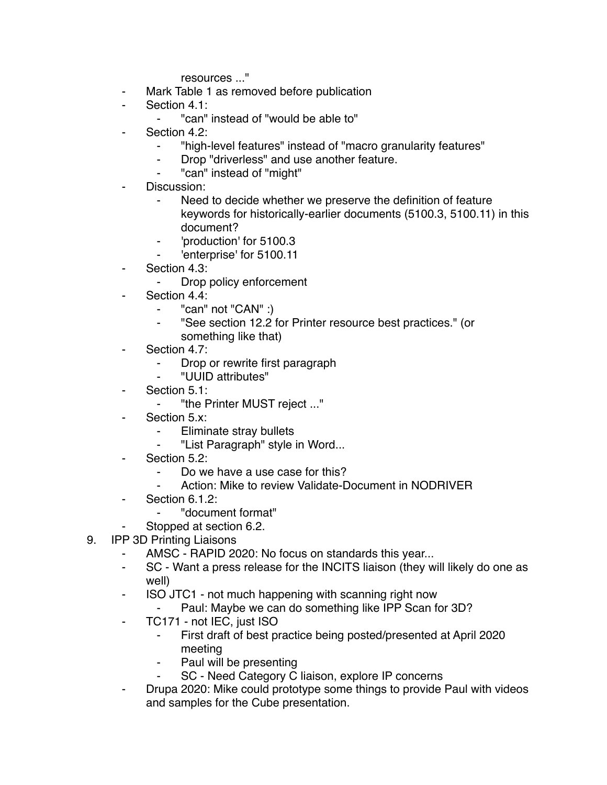resources ..."

- ⁃ Mark Table 1 as removed before publication
- Section 4.1:
	- ⁃ "can" instead of "would be able to"
- Section 4.2:
	- ⁃ "high-level features" instead of "macro granularity features"
	- ⁃ Drop "driverless" and use another feature.
	- "can" instead of "might"
- Discussion:
	- Need to decide whether we preserve the definition of feature keywords for historically-earlier documents (5100.3, 5100.11) in this document?
	- ⁃ 'production' for 5100.3
	- ⁃ 'enterprise' for 5100.11
- Section 4.3:
	- Drop policy enforcement
- Section 4.4:
	- ⁃ "can" not "CAN" :)
	- ⁃ "See section 12.2 for Printer resource best practices." (or something like that)
- Section 4.7:
	- ⁃ Drop or rewrite first paragraph
	- ⁃ "UUID attributes"
- Section 5.1:
	- ⁃ "the Printer MUST reject ..."
- Section 5.x:
	- ⁃ Eliminate stray bullets
	- ⁃ "List Paragraph" style in Word...
- Section 5.2:
	- Do we have a use case for this?
	- Action: Mike to review Validate-Document in NODRIVER
- Section 6.1.2:
	- ⁃ "document format"
	- Stopped at section 6.2.
- 9. IPP 3D Printing Liaisons
	- AMSC RAPID 2020: No focus on standards this year...
	- ⁃ SC Want a press release for the INCITS liaison (they will likely do one as well)
	- ⁃ ISO JTC1 not much happening with scanning right now
		- Paul: Maybe we can do something like IPP Scan for 3D?
	- TC171 not IEC, just ISO
		- First draft of best practice being posted/presented at April 2020 meeting
		- Paul will be presenting
		- SC Need Category C liaison, explore IP concerns
	- ⁃ Drupa 2020: Mike could prototype some things to provide Paul with videos and samples for the Cube presentation.